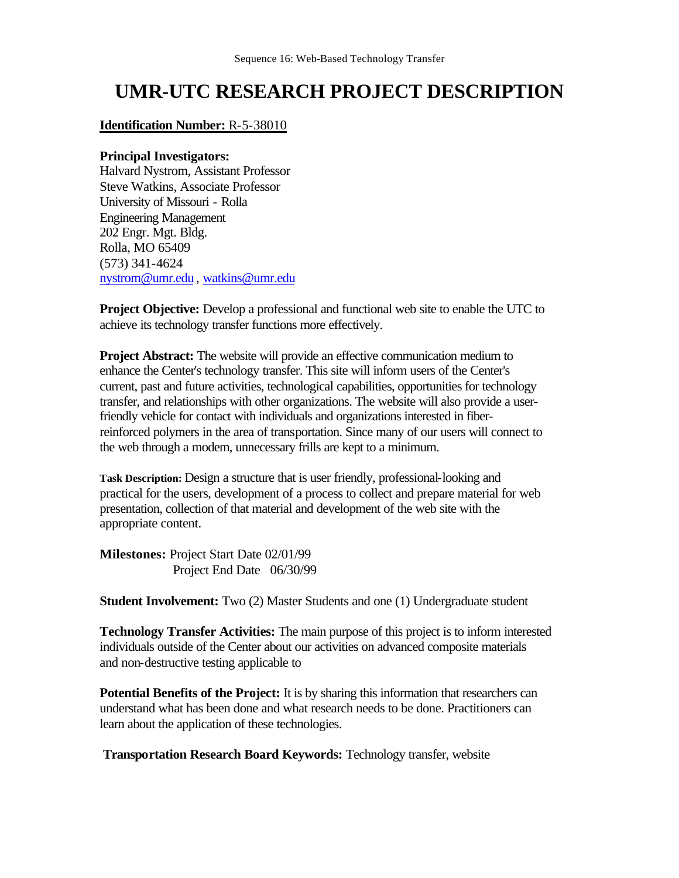## **UMR-UTC RESEARCH PROJECT DESCRIPTION**

**Identification Number:** R-5-38010

## **Principal Investigators:**

Halvard Nystrom, Assistant Professor Steve Watkins, Associate Professor University of Missouri - Rolla Engineering Management 202 Engr. Mgt. Bldg. Rolla, MO 65409 (573) 341-4624 nystrom@umr.edu , watkins@umr.edu

**Project Objective:** Develop a professional and functional web site to enable the UTC to achieve its technology transfer functions more effectively.

**Project Abstract:** The website will provide an effective communication medium to enhance the Center's technology transfer. This site will inform users of the Center's current, past and future activities, technological capabilities, opportunities for technology transfer, and relationships with other organizations. The website will also provide a userfriendly vehicle for contact with individuals and organizations interested in fiberreinforced polymers in the area of transportation. Since many of our users will connect to the web through a modem, unnecessary frills are kept to a minimum.

**Task Description:** Design a structure that is user friendly, professional-looking and practical for the users, development of a process to collect and prepare material for web presentation, collection of that material and development of the web site with the appropriate content.

**Milestones:** Project Start Date 02/01/99 Project End Date 06/30/99

**Student Involvement:** Two (2) Master Students and one (1) Undergraduate student

**Technology Transfer Activities:** The main purpose of this project is to inform interested individuals outside of the Center about our activities on advanced composite materials and non-destructive testing applicable to

**Potential Benefits of the Project:** It is by sharing this information that researchers can understand what has been done and what research needs to be done. Practitioners can learn about the application of these technologies.

**Transportation Research Board Keywords:** Technology transfer, website